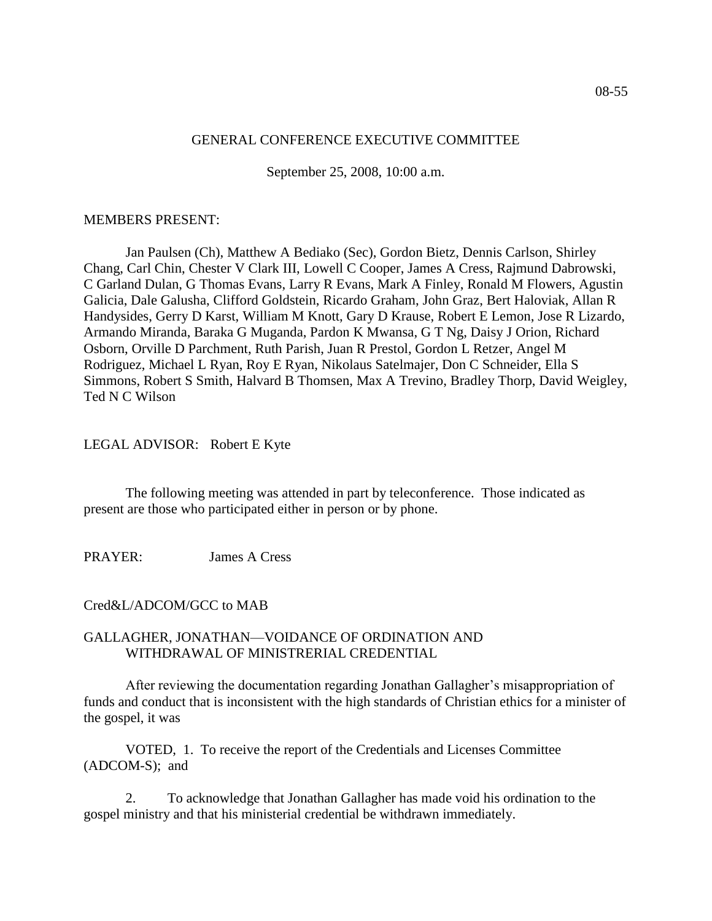## GENERAL CONFERENCE EXECUTIVE COMMITTEE

September 25, 2008, 10:00 a.m.

### MEMBERS PRESENT:

Jan Paulsen (Ch), Matthew A Bediako (Sec), Gordon Bietz, Dennis Carlson, Shirley Chang, Carl Chin, Chester V Clark III, Lowell C Cooper, James A Cress, Rajmund Dabrowski, C Garland Dulan, G Thomas Evans, Larry R Evans, Mark A Finley, Ronald M Flowers, Agustin Galicia, Dale Galusha, Clifford Goldstein, Ricardo Graham, John Graz, Bert Haloviak, Allan R Handysides, Gerry D Karst, William M Knott, Gary D Krause, Robert E Lemon, Jose R Lizardo, Armando Miranda, Baraka G Muganda, Pardon K Mwansa, G T Ng, Daisy J Orion, Richard Osborn, Orville D Parchment, Ruth Parish, Juan R Prestol, Gordon L Retzer, Angel M Rodriguez, Michael L Ryan, Roy E Ryan, Nikolaus Satelmajer, Don C Schneider, Ella S Simmons, Robert S Smith, Halvard B Thomsen, Max A Trevino, Bradley Thorp, David Weigley, Ted N C Wilson

# LEGAL ADVISOR: Robert E Kyte

The following meeting was attended in part by teleconference. Those indicated as present are those who participated either in person or by phone.

PRAYER: James A Cress

# Cred&L/ADCOM/GCC to MAB

## GALLAGHER, JONATHAN—VOIDANCE OF ORDINATION AND WITHDRAWAL OF MINISTRERIAL CREDENTIAL

After reviewing the documentation regarding Jonathan Gallagher's misappropriation of funds and conduct that is inconsistent with the high standards of Christian ethics for a minister of the gospel, it was

VOTED, 1. To receive the report of the Credentials and Licenses Committee (ADCOM-S); and

2. To acknowledge that Jonathan Gallagher has made void his ordination to the gospel ministry and that his ministerial credential be withdrawn immediately.